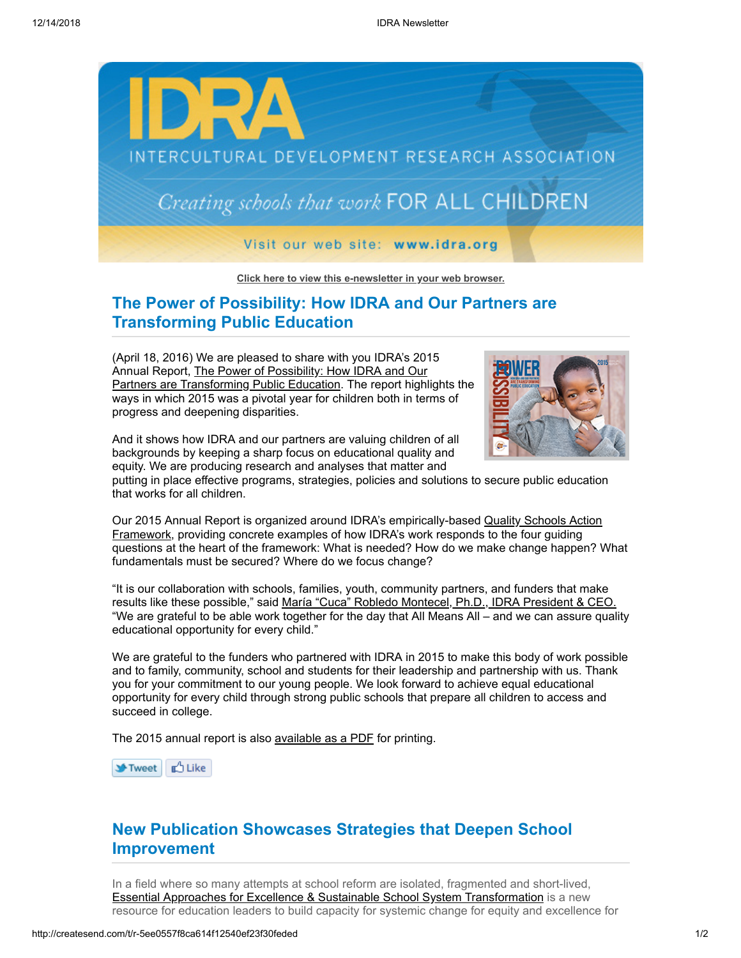

**[Click here to view this e-newsletter in your web browser.](http://newsletter.impulsedevelopment.com/t/r-e-ehuurid-l-r/)**

## **The Power of Possibility: How IDRA and Our Partners are Transforming Public Education**

(April 18, 2016) We are pleased to share with you IDRA's 2015 Annual Report, The Power of Possibility: How IDRA and Our [Partners are Transforming Public Education. The report highl](http://idra.createsend1.com/t/r-l-ehuurid-l-d/)ights the ways in which 2015 was a pivotal year for children both in terms of progress and deepening disparities.



And it shows how IDRA and our partners are valuing children of all backgrounds by keeping a sharp focus on educational quality and equity. We are producing research and analyses that matter and

putting in place effective programs, strategies, policies and solutions to secure public education that works for all children.

[Our 2015 Annual Report is organized around IDRA's empirically-based Quality Schools Action](http://idra.createsend1.com/t/r-l-ehuurid-l-h/) Framework, providing concrete examples of how IDRA's work responds to the four guiding questions at the heart of the framework: What is needed? How do we make change happen? What fundamentals must be secured? Where do we focus change?

"It is our collaboration with schools, families, youth, community partners, and funders that make results like these possible," said [María "Cuca" Robledo Montecel, Ph.D., IDRA President & CEO.](http://idra.createsend1.com/t/r-l-ehuurid-l-k/) "We are grateful to be able work together for the day that All Means All – and we can assure quality educational opportunity for every child."

We are grateful to the funders who partnered with IDRA in 2015 to make this body of work possible and to family, community, school and students for their leadership and partnership with us. Thank you for your commitment to our young people. We look forward to achieve equal educational opportunity for every child through strong public schools that prepare all children to access and succeed in college.

The 2015 annual report is also [available as a PDF](http://idra.createsend1.com/t/r-l-ehuurid-l-u/) for printing.

**→ Tweet** <u>d<sup>4</sup></u> Like

## **New Publication Showcases Strategies that Deepen School Improvement**

In a field where so many attempts at school reform are isolated, fragmented and short-lived, **[Essential Approaches for Excellence & Sustainable School System Transformation](http://idra.createsend1.com/t/r-l-ehuurid-l-b/) is a new** resource for education leaders to build capacity for systemic change for equity and excellence for